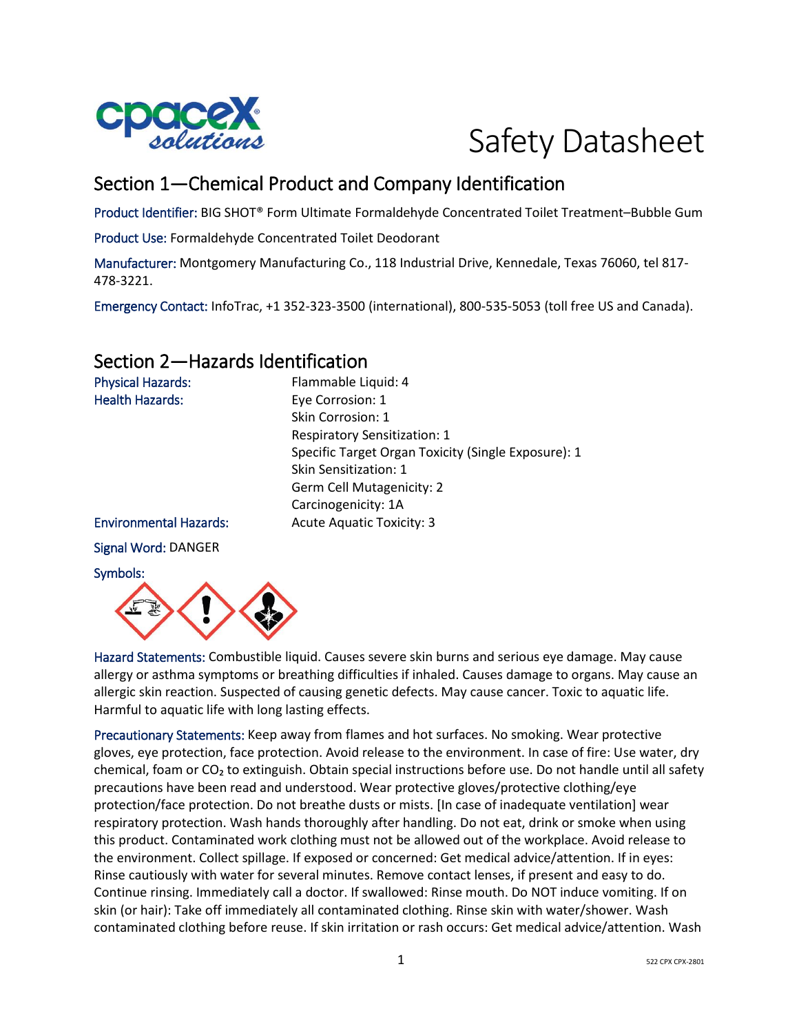

# Safety Datasheet

# Section 1—Chemical Product and Company Identification

Product Identifier: BIG SHOT® Form Ultimate Formaldehyde Concentrated Toilet Treatment–Bubble Gum

Product Use: Formaldehyde Concentrated Toilet Deodorant

Manufacturer: Montgomery Manufacturing Co., 118 Industrial Drive, Kennedale, Texas 76060, tel 817- 478-3221.

Emergency Contact: InfoTrac, +1 352-323-3500 (international), 800-535-5053 (toll free US and Canada).

# Section 2—Hazards Identification

| <b>Physical Hazards:</b>      | Flammable Liquid: 4                                 |
|-------------------------------|-----------------------------------------------------|
| <b>Health Hazards:</b>        | Eye Corrosion: 1                                    |
|                               | Skin Corrosion: 1                                   |
|                               | <b>Respiratory Sensitization: 1</b>                 |
|                               | Specific Target Organ Toxicity (Single Exposure): 1 |
|                               | Skin Sensitization: 1                               |
|                               | Germ Cell Mutagenicity: 2                           |
|                               | Carcinogenicity: 1A                                 |
| <b>Environmental Hazards:</b> | <b>Acute Aquatic Toxicity: 3</b>                    |
| Signal Word: DANGER           |                                                     |
| Symbols:                      |                                                     |



Hazard Statements: Combustible liquid. Causes severe skin burns and serious eye damage. May cause allergy or asthma symptoms or breathing difficulties if inhaled. Causes damage to organs. May cause an allergic skin reaction. Suspected of causing genetic defects. May cause cancer. Toxic to aquatic life. Harmful to aquatic life with long lasting effects.

Precautionary Statements: Keep away from flames and hot surfaces. No smoking. Wear protective gloves, eye protection, face protection. Avoid release to the environment. In case of fire: Use water, dry chemical, foam or  $CO<sub>2</sub>$  to extinguish. Obtain special instructions before use. Do not handle until all safety precautions have been read and understood. Wear protective gloves/protective clothing/eye protection/face protection. Do not breathe dusts or mists. [In case of inadequate ventilation] wear respiratory protection. Wash hands thoroughly after handling. Do not eat, drink or smoke when using this product. Contaminated work clothing must not be allowed out of the workplace. Avoid release to the environment. Collect spillage. If exposed or concerned: Get medical advice/attention. If in eyes: Rinse cautiously with water for several minutes. Remove contact lenses, if present and easy to do. Continue rinsing. Immediately call a doctor. If swallowed: Rinse mouth. Do NOT induce vomiting. If on skin (or hair): Take off immediately all contaminated clothing. Rinse skin with water/shower. Wash contaminated clothing before reuse. If skin irritation or rash occurs: Get medical advice/attention. Wash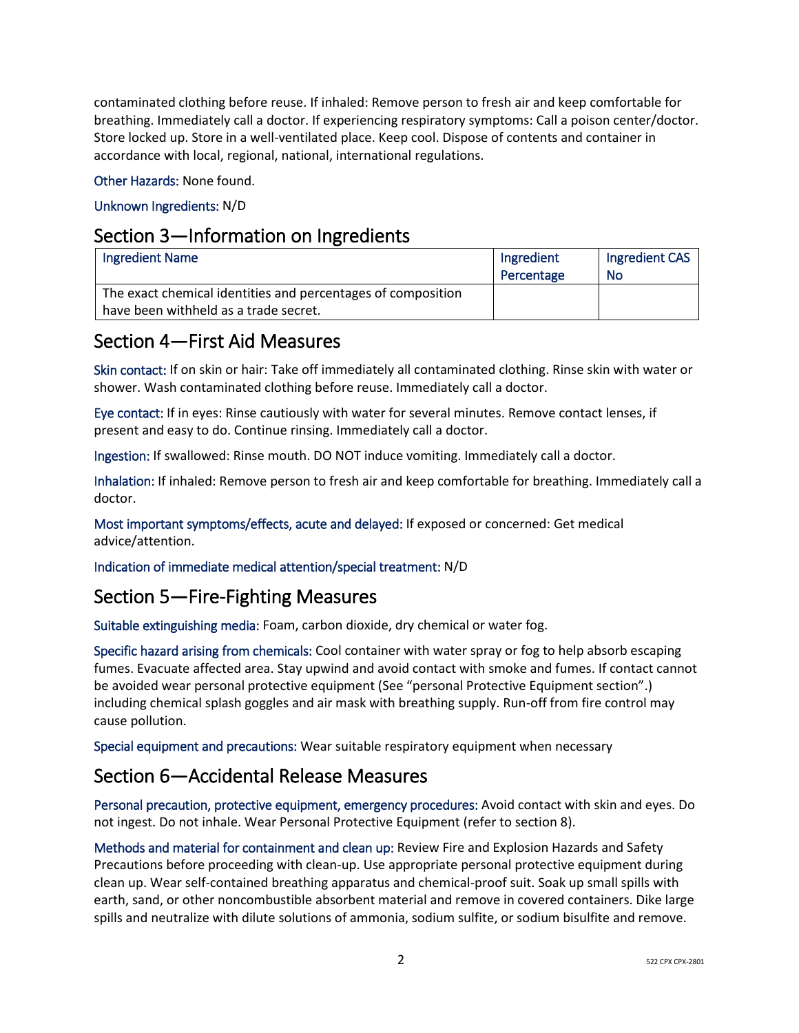contaminated clothing before reuse. If inhaled: Remove person to fresh air and keep comfortable for breathing. Immediately call a doctor. If experiencing respiratory symptoms: Call a poison center/doctor. Store locked up. Store in a well-ventilated place. Keep cool. Dispose of contents and container in accordance with local, regional, national, international regulations.

Other Hazards: None found.

## Unknown Ingredients: N/D

## Section 3—Information on Ingredients

| <b>Ingredient Name</b>                                                                                | Ingredient<br>Percentage | Ingredient CAS<br><b>No</b> |
|-------------------------------------------------------------------------------------------------------|--------------------------|-----------------------------|
| The exact chemical identities and percentages of composition<br>have been withheld as a trade secret. |                          |                             |

# Section 4—First Aid Measures

Skin contact: If on skin or hair: Take off immediately all contaminated clothing. Rinse skin with water or shower. Wash contaminated clothing before reuse. Immediately call a doctor.

Eye contact: If in eyes: Rinse cautiously with water for several minutes. Remove contact lenses, if present and easy to do. Continue rinsing. Immediately call a doctor.

Ingestion: If swallowed: Rinse mouth. DO NOT induce vomiting. Immediately call a doctor.

Inhalation: If inhaled: Remove person to fresh air and keep comfortable for breathing. Immediately call a doctor.

Most important symptoms/effects, acute and delayed: If exposed or concerned: Get medical advice/attention.

Indication of immediate medical attention/special treatment: N/D

# Section 5—Fire-Fighting Measures

Suitable extinguishing media: Foam, carbon dioxide, dry chemical or water fog.

Specific hazard arising from chemicals: Cool container with water spray or fog to help absorb escaping fumes. Evacuate affected area. Stay upwind and avoid contact with smoke and fumes. If contact cannot be avoided wear personal protective equipment (See "personal Protective Equipment section".) including chemical splash goggles and air mask with breathing supply. Run-off from fire control may cause pollution.

Special equipment and precautions: Wear suitable respiratory equipment when necessary

# Section 6—Accidental Release Measures

Personal precaution, protective equipment, emergency procedures: Avoid contact with skin and eyes. Do not ingest. Do not inhale. Wear Personal Protective Equipment (refer to section 8).

Methods and material for containment and clean up: Review Fire and Explosion Hazards and Safety Precautions before proceeding with clean-up. Use appropriate personal protective equipment during clean up. Wear self-contained breathing apparatus and chemical-proof suit. Soak up small spills with earth, sand, or other noncombustible absorbent material and remove in covered containers. Dike large spills and neutralize with dilute solutions of ammonia, sodium sulfite, or sodium bisulfite and remove.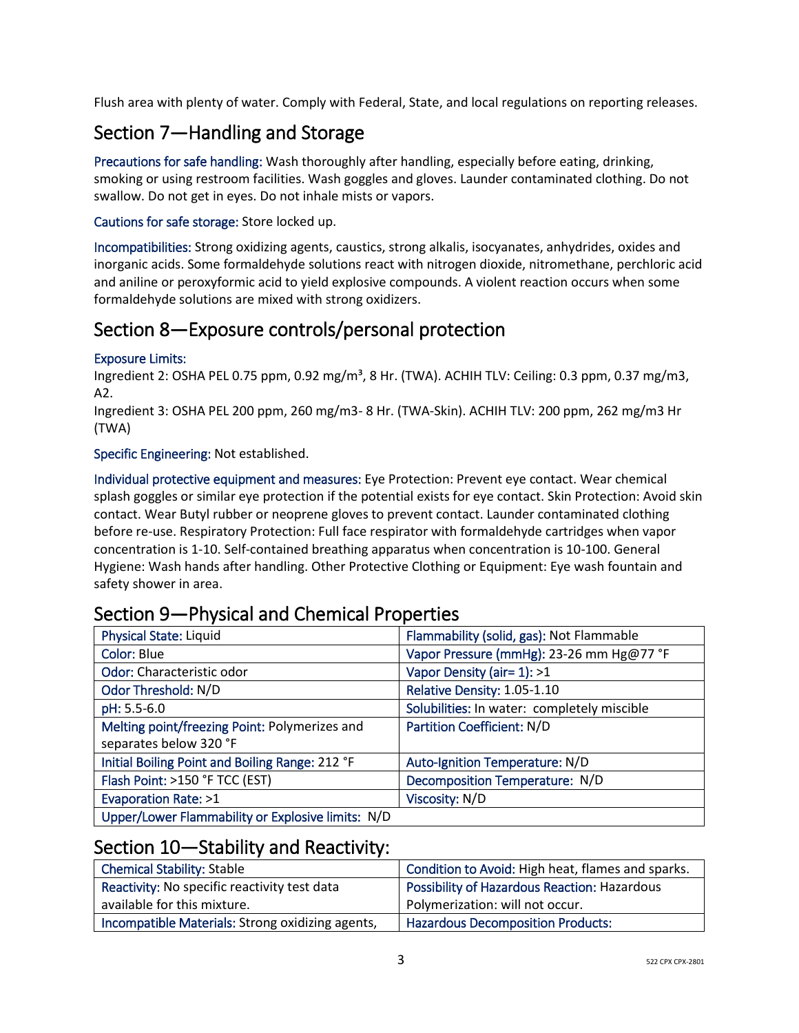Flush area with plenty of water. Comply with Federal, State, and local regulations on reporting releases.

# Section 7—Handling and Storage

Precautions for safe handling: Wash thoroughly after handling, especially before eating, drinking, smoking or using restroom facilities. Wash goggles and gloves. Launder contaminated clothing. Do not swallow. Do not get in eyes. Do not inhale mists or vapors.

## Cautions for safe storage: Store locked up.

Incompatibilities: Strong oxidizing agents, caustics, strong alkalis, isocyanates, anhydrides, oxides and inorganic acids. Some formaldehyde solutions react with nitrogen dioxide, nitromethane, perchloric acid and aniline or peroxyformic acid to yield explosive compounds. A violent reaction occurs when some formaldehyde solutions are mixed with strong oxidizers.

# Section 8—Exposure controls/personal protection

#### Exposure Limits:

Ingredient 2: OSHA PEL 0.75 ppm, 0.92 mg/m<sup>3</sup>, 8 Hr. (TWA). ACHIH TLV: Ceiling: 0.3 ppm, 0.37 mg/m3, A2.

Ingredient 3: OSHA PEL 200 ppm, 260 mg/m3- 8 Hr. (TWA-Skin). ACHIH TLV: 200 ppm, 262 mg/m3 Hr (TWA)

Specific Engineering: Not established.

Individual protective equipment and measures: Eye Protection: Prevent eye contact. Wear chemical splash goggles or similar eye protection if the potential exists for eye contact. Skin Protection: Avoid skin contact. Wear Butyl rubber or neoprene gloves to prevent contact. Launder contaminated clothing before re-use. Respiratory Protection: Full face respirator with formaldehyde cartridges when vapor concentration is 1-10. Self-contained breathing apparatus when concentration is 10-100. General Hygiene: Wash hands after handling. Other Protective Clothing or Equipment: Eye wash fountain and safety shower in area.

| <b>Physical State: Liquid</b>                     | Flammability (solid, gas): Not Flammable    |
|---------------------------------------------------|---------------------------------------------|
| Color: Blue                                       | Vapor Pressure (mmHg): 23-26 mm Hg@77 °F    |
| Odor: Characteristic odor                         | Vapor Density (air= 1): >1                  |
| Odor Threshold: N/D                               | Relative Density: 1.05-1.10                 |
| pH: 5.5-6.0                                       | Solubilities: In water: completely miscible |
| Melting point/freezing Point: Polymerizes and     | <b>Partition Coefficient: N/D</b>           |
| separates below 320 °F                            |                                             |
| Initial Boiling Point and Boiling Range: 212 °F   | Auto-Ignition Temperature: N/D              |
| Flash Point: >150 °F TCC (EST)                    | Decomposition Temperature: N/D              |
| Evaporation Rate: >1                              | Viscosity: N/D                              |
| Upper/Lower Flammability or Explosive limits: N/D |                                             |

# Section 9—Physical and Chemical Properties

## Section 10—Stability and Reactivity:

| <b>Chemical Stability: Stable</b>                | Condition to Avoid: High heat, flames and sparks.   |
|--------------------------------------------------|-----------------------------------------------------|
| Reactivity: No specific reactivity test data     | <b>Possibility of Hazardous Reaction: Hazardous</b> |
| available for this mixture.                      | Polymerization: will not occur.                     |
| Incompatible Materials: Strong oxidizing agents, | <b>Hazardous Decomposition Products:</b>            |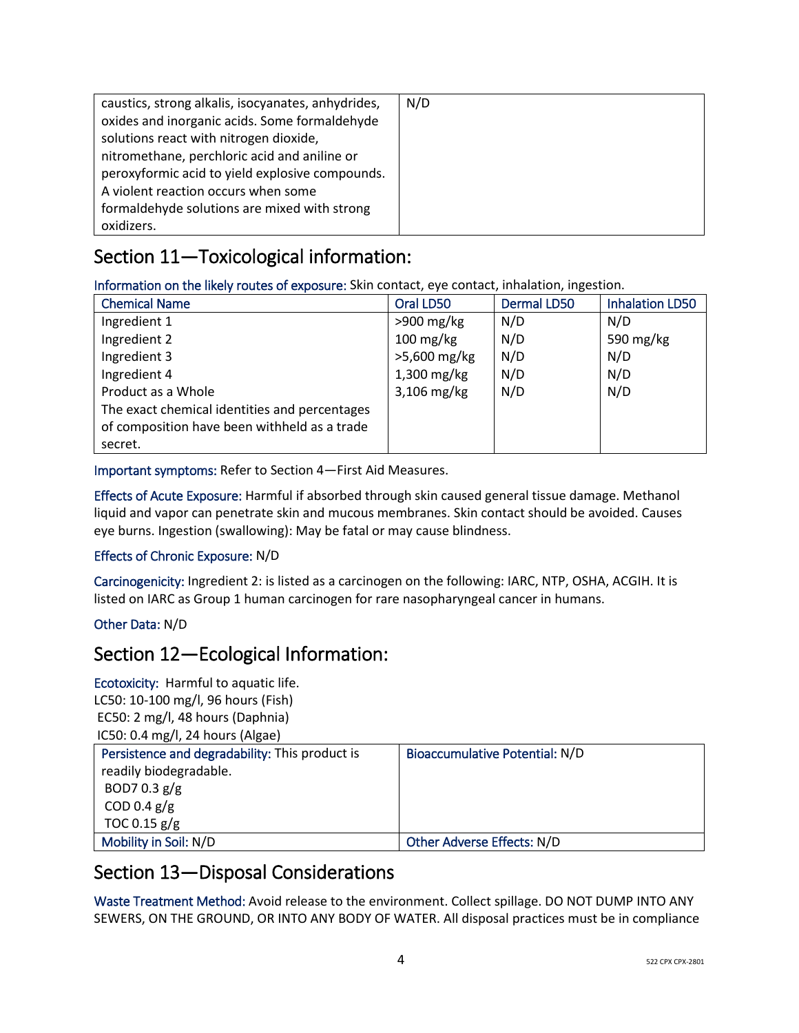| caustics, strong alkalis, isocyanates, anhydrides, | N/D |
|----------------------------------------------------|-----|
| oxides and inorganic acids. Some formaldehyde      |     |
| solutions react with nitrogen dioxide,             |     |
| nitromethane, perchloric acid and aniline or       |     |
| peroxyformic acid to yield explosive compounds.    |     |
| A violent reaction occurs when some                |     |
| formaldehyde solutions are mixed with strong       |     |
| oxidizers.                                         |     |

# Section 11—Toxicological information:

Information on the likely routes of exposure: Skin contact, eye contact, inhalation, ingestion.

| <b>Chemical Name</b>                          | Oral LD50     | <b>Dermal LD50</b> | <b>Inhalation LD50</b> |
|-----------------------------------------------|---------------|--------------------|------------------------|
| Ingredient 1                                  | $>900$ mg/kg  | N/D                | N/D                    |
| Ingredient 2                                  | $100$ mg/kg   | N/D                | 590 mg/kg              |
| Ingredient 3                                  | >5,600 mg/kg  | N/D                | N/D                    |
| Ingredient 4                                  | $1,300$ mg/kg | N/D                | N/D                    |
| Product as a Whole                            | $3,106$ mg/kg | N/D                | N/D                    |
| The exact chemical identities and percentages |               |                    |                        |
| of composition have been withheld as a trade  |               |                    |                        |
| secret.                                       |               |                    |                        |

Important symptoms: Refer to Section 4—First Aid Measures.

Effects of Acute Exposure: Harmful if absorbed through skin caused general tissue damage. Methanol liquid and vapor can penetrate skin and mucous membranes. Skin contact should be avoided. Causes eye burns. Ingestion (swallowing): May be fatal or may cause blindness.

## Effects of Chronic Exposure: N/D

Carcinogenicity: Ingredient 2: is listed as a carcinogen on the following: IARC, NTP, OSHA, ACGIH. It is listed on IARC as Group 1 human carcinogen for rare nasopharyngeal cancer in humans.

## Other Data: N/D

## Section 12—Ecological Information:

Ecotoxicity: Harmful to aquatic life. LC50: 10-100 mg/l, 96 hours (Fish) EC50: 2 mg/l, 48 hours (Daphnia) IC50: 0.4 mg/l, 24 hours (Algae)

| Persistence and degradability: This product is | Bioaccumulative Potential: N/D |
|------------------------------------------------|--------------------------------|
| readily biodegradable.                         |                                |
| BOD7 0.3 $g/g$                                 |                                |
| COD 0.4 $g/g$                                  |                                |
| TOC 0.15 $g/g$                                 |                                |
| Mobility in Soil: N/D                          | Other Adverse Effects: N/D     |

## Section 13—Disposal Considerations

Waste Treatment Method: Avoid release to the environment. Collect spillage. DO NOT DUMP INTO ANY SEWERS, ON THE GROUND, OR INTO ANY BODY OF WATER. All disposal practices must be in compliance